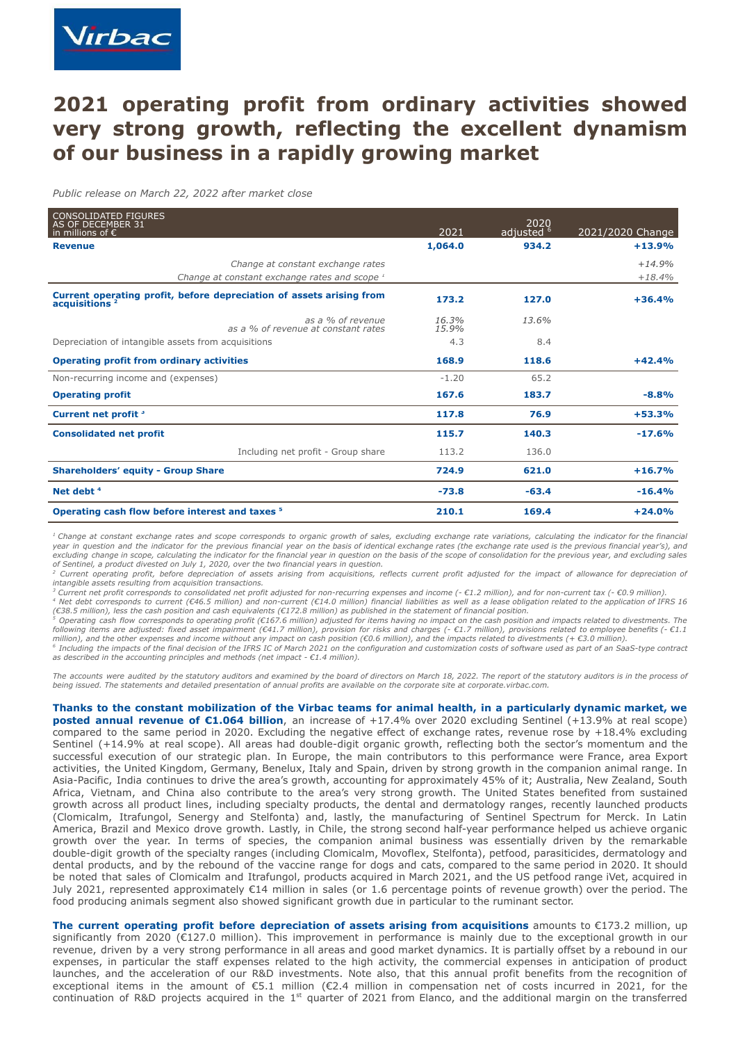# **2021 operating profit from ordinary activities showed very strong growth, reflecting the excellent dynamism of our business in a rapidly growing market**

*Public release on March 22, 2022 after market close*

| <b>CONSOLIDATED FIGURES</b><br>AS OF DECEMBER 31<br>in millions of $\epsilon$                     | 2021           | 2020<br>adjusted <sup>6</sup> | 2021/2020 Change     |
|---------------------------------------------------------------------------------------------------|----------------|-------------------------------|----------------------|
| <b>Revenue</b>                                                                                    | 1,064.0        | 934.2                         | $+13.9%$             |
| Change at constant exchange rates<br>Change at constant exchange rates and scope 1                |                |                               | $+14.9%$<br>$+18.4%$ |
| Current operating profit, before depreciation of assets arising from<br>acquisitions <sup>2</sup> | 173.2          | 127.0                         | $+36.4%$             |
| as a % of revenue<br>as a % of revenue at constant rates                                          | 16.3%<br>15.9% | 13.6%                         |                      |
| Depreciation of intangible assets from acquisitions                                               | 4.3            | 8.4                           |                      |
| <b>Operating profit from ordinary activities</b>                                                  | 168.9          | 118.6                         | $+42.4%$             |
| Non-recurring income and (expenses)                                                               | $-1.20$        | 65.2                          |                      |
| <b>Operating profit</b>                                                                           | 167.6          | 183.7                         | $-8.8%$              |
| Current net profit <sup>3</sup>                                                                   | 117.8          | 76.9                          | $+53.3%$             |
| <b>Consolidated net profit</b>                                                                    | 115.7          | 140.3                         | $-17.6%$             |
| Including net profit - Group share                                                                | 113.2          | 136.0                         |                      |
| <b>Shareholders' equity - Group Share</b>                                                         | 724.9          | 621.0                         | $+16.7%$             |
| Net debt $4$                                                                                      | $-73.8$        | $-63.4$                       | $-16.4%$             |
| Operating cash flow before interest and taxes <sup>5</sup>                                        | 210.1          | 169.4                         | $+24.0%$             |

.<br>I Change at constant exchange rates and scope corresponds to organic growth of sales, excluding exchange rate variations, calculating the indicator for the financial year in question and the indicator for the previous financial year on the basis of identical exchange rates (the exchange rate used is the previous financial year's), and excluding change in scope, calculating the indicator for the financial year in question on the basis of the scope of consolidation for the previous year, and excluding sales *of Sentinel, a product divested on July 1, 2020, over the two financial years in question.*

<sup>2</sup> Current operating profit, before depreciation of assets arising from acquisitions, reflects current profit adjusted for the impact of allowance for depreciation of *intangible assets resulting from acquisition transactions.*

<sup>3</sup> Current net profit corresponds to consolidated net profit adjusted for non-recurring expenses and income (- €1.2 million), and for non-current tax (- €0.9 million).<br><sup>4</sup> Net debt corresponds to current (€46.5 million) *(€38.5 million), less the cash position and cash equivalents (€172.8 million) as published in the statement of financial position.*

<sup>5</sup> Operating cash flow corresponds to operating profit (€167.6 million) adjusted for items having no impact on the cash position and impacts related to divestments. The<br>following items are adjusted: fixed asset impairmen *million), and the other expenses and income without any impact on cash position (€0.6 million), and the impacts related to divestments (+ €3.0 million).*

 $^5$  Including the impacts of the final decision of the IFRS IC of March 2021 on the configuration and customization costs of software used as part of an SaaS-type contract *as described in the accounting principles and methods (net impact - €1.4 million).*

The accounts were audited by the statutory auditors and examined by the board of directors on March 18, 2022. The report of the statutory auditors is in the process of *being issued. The statements and detailed presentation of annual profits are available on the corporate site at corporate.virbac.com.*

Thanks to the constant mobilization of the Virbac teams for animal health, in a particularly dynamic market, we **posted annual revenue of €1.064 billion**, an increase of +17.4% over 2020 excluding Sentinel (+13.9% at real scope) compared to the same period in 2020. Excluding the negative effect of exchange rates, revenue rose by +18.4% excluding Sentinel (+14.9% at real scope). All areas had double-digit organic growth, reflecting both the sector's momentum and the successful execution of our strategic plan. In Europe, the main contributors to this performance were France, area Export activities, the United Kingdom, Germany, Benelux, Italy and Spain, driven by strong growth in the companion animal range. In Asia-Pacific, India continues to drive the area's growth, accounting for approximately 45% of it; Australia, New Zealand, South Africa, Vietnam, and China also contribute to the area's very strong growth. The United States benefited from sustained growth across all product lines, including specialty products, the dental and dermatology ranges, recently launched products (Clomicalm, Itrafungol, Senergy and Stelfonta) and, lastly, the manufacturing of Sentinel Spectrum for Merck. In Latin America, Brazil and Mexico drove growth. Lastly, in Chile, the strong second half-year performance helped us achieve organic growth over the year. In terms of species, the companion animal business was essentially driven by the remarkable double-digit growth of the specialty ranges (including Clomicalm, Movoflex, Stelfonta), petfood, parasiticides, dermatology and dental products, and by the rebound of the vaccine range for dogs and cats, compared to the same period in 2020. It should be noted that sales of Clomicalm and Itrafungol, products acquired in March 2021, and the US petfood range iVet, acquired in July 2021, represented approximately  $E14$  million in sales (or 1.6 percentage points of revenue growth) over the period. The food producing animals segment also showed significant growth due in particular to the ruminant sector.

**The current operating profit before depreciation of assets arising from acquisitions** amounts to €173.2 million, up significantly from 2020 (€127.0 million). This improvement in performance is mainly due to the exceptional growth in our revenue, driven by a very strong performance in all areas and good market dynamics. It is partially offset by a rebound in our expenses, in particular the staff expenses related to the high activity, the commercial expenses in anticipation of product launches, and the acceleration of our R&D investments. Note also, that this annual profit benefits from the recognition of exceptional items in the amount of €5.1 million (€2.4 million in compensation net of costs incurred in 2021, for the continuation of R&D projects acquired in the  $1<sup>st</sup>$  quarter of 2021 from Elanco, and the additional margin on the transferred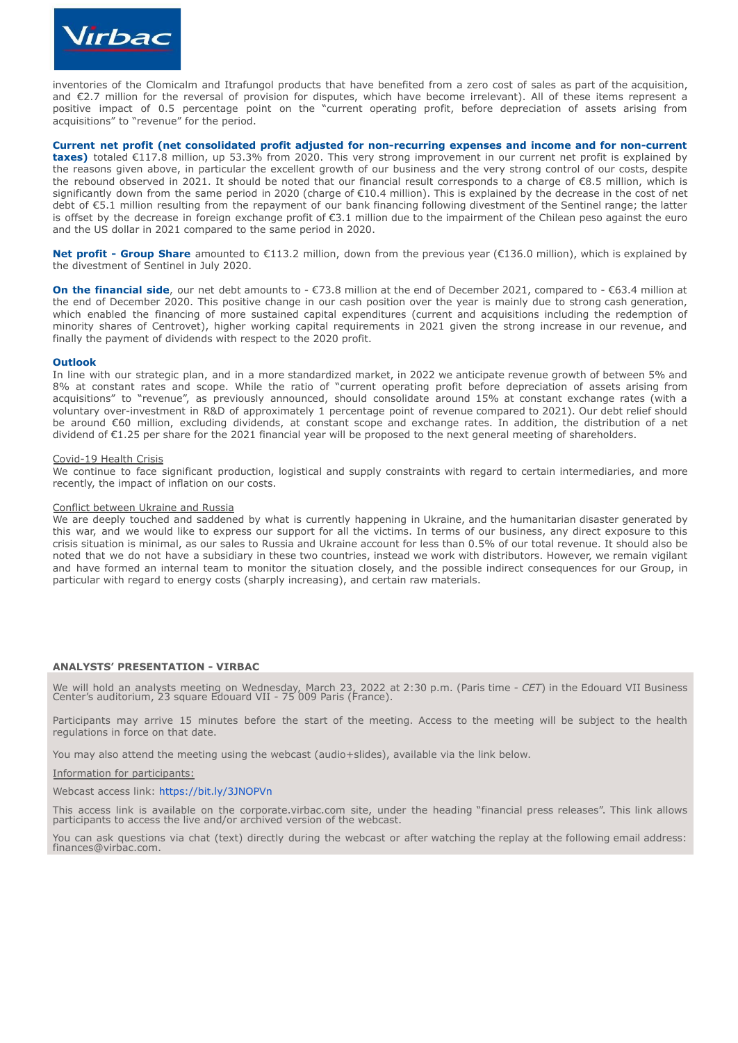

inventories of the Clomicalm and Itrafungol products that have benefited from a zero cost of sales as part of the acquisition, and €2.7 million for the reversal of provision for disputes, which have become irrelevant). All of these items represent a positive impact of 0.5 percentage point on the "current operating profit, before depreciation of assets arising from acquisitions" to "revenue" for the period.

**Current net profit (net consolidated profit adjusted for non-recurring expenses and income and for non-current taxes)** totaled €117.8 million, up 53.3% from 2020. This very strong improvement in our current net profit is explained by the reasons given above, in particular the excellent growth of our business and the very strong control of our costs, despite the rebound observed in 2021. It should be noted that our financial result corresponds to a charge of €8.5 million, which is significantly down from the same period in 2020 (charge of €10.4 million). This is explained by the decrease in the cost of net debt of €5.1 million resulting from the repayment of our bank financing following divestment of the Sentinel range; the latter is offset by the decrease in foreign exchange profit of €3.1 million due to the impairment of the Chilean peso against the euro and the US dollar in 2021 compared to the same period in 2020.

**Net profit - Group Share** amounted to €113.2 million, down from the previous year (€136.0 million), which is explained by the divestment of Sentinel in July 2020.

**On the financial side**, our net debt amounts to - €73.8 million at the end of December 2021, compared to - €63.4 million at the end of December 2020. This positive change in our cash position over the year is mainly due to strong cash generation, which enabled the financing of more sustained capital expenditures (current and acquisitions including the redemption of minority shares of Centrovet), higher working capital requirements in 2021 given the strong increase in our revenue, and finally the payment of dividends with respect to the 2020 profit.

# **Outlook**

In line with our strategic plan, and in a more standardized market, in 2022 we anticipate revenue growth of between 5% and 8% at constant rates and scope. While the ratio of "current operating profit before depreciation of assets arising from acquisitions" to "revenue", as previously announced, should consolidate around 15% at constant exchange rates (with a voluntary over-investment in R&D of approximately 1 percentage point of revenue compared to 2021). Our debt relief should be around €60 million, excluding dividends, at constant scope and exchange rates. In addition, the distribution of a net dividend of €1.25 per share for the 2021 financial year will be proposed to the next general meeting of shareholders.

# Covid-19 Health Crisis

We continue to face significant production, logistical and supply constraints with regard to certain intermediaries, and more recently, the impact of inflation on our costs.

### Conflict between Ukraine and Russia

We are deeply touched and saddened by what is currently happening in Ukraine, and the humanitarian disaster generated by this war, and we would like to express our support for all the victims. In terms of our business, any direct exposure to this crisis situation is minimal, as our sales to Russia and Ukraine account for less than 0.5% of our total revenue. It should also be noted that we do not have a subsidiary in these two countries, instead we work with distributors. However, we remain vigilant and have formed an internal team to monitor the situation closely, and the possible indirect consequences for our Group, in particular with regard to energy costs (sharply increasing), and certain raw materials.

# **ANALYSTS' PRESENTATION - VIRBAC**

We will hold an analysts meeting on Wednesday, March 23, 2022 at 2:30 p.m. (Paris time - *CET*) in the Edouard VII Business Center's auditorium, 23 square Edouard VII - 75 009 Paris (France).

Participants may arrive 15 minutes before the start of the meeting. Access to the meeting will be subject to the health regulations in force on that date.

You may also attend the meeting using the webcast (audio+slides), available via the link below.

# Information for participants:

Webcast access link: <https://bit.ly/3JNOPVn>

This access link is available on the corporate.virbac.com site, under the heading "financial press releases". This link allows participants to access the live and/or archived version of the webcast.

You can ask questions via chat (text) directly during the webcast or after watching the replay at the following email address: finances@virbac.com.